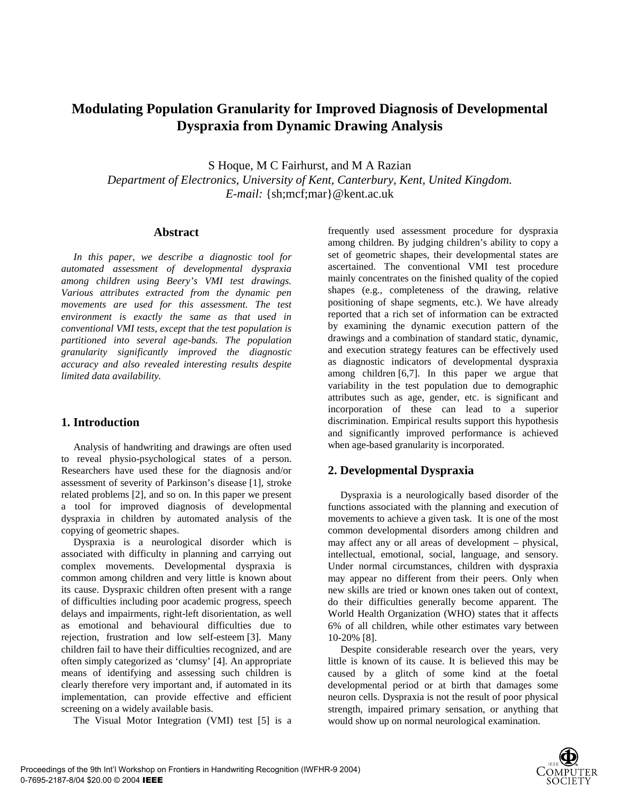# **Modulating Population Granularity for Improved Diagnosis of Developmental Dyspraxia from Dynamic Drawing Analysis**

S Hoque, M C Fairhurst, and M A Razian *Department of Electronics, University of Kent, Canterbury, Kent, United Kingdom. E-mail:* {sh;mcf;mar}@kent.ac.uk

#### **Abstract**

*In this paper, we describe a diagnostic tool for automated assessment of developmental dyspraxia among children using Beery's VMI test drawings. Various attributes extracted from the dynamic pen movements are used for this assessment. The test environment is exactly the same as that used in conventional VMI tests, except that the test population is partitioned into several age-bands. The population granularity significantly improved the diagnostic accuracy and also revealed interesting results despite limited data availability.* 

### **1. Introduction**

Analysis of handwriting and drawings are often used to reveal physio-psychological states of a person. Researchers have used these for the diagnosis and/or assessment of severity of Parkinson's disease [1], stroke related problems [2], and so on. In this paper we present a tool for improved diagnosis of developmental dyspraxia in children by automated analysis of the copying of geometric shapes.

Dyspraxia is a neurological disorder which is associated with difficulty in planning and carrying out complex movements. Developmental dyspraxia is common among children and very little is known about its cause. Dyspraxic children often present with a range of difficulties including poor academic progress, speech delays and impairments, right-left disorientation, as well as emotional and behavioural difficulties due to rejection, frustration and low self-esteem [3]. Many children fail to have their difficulties recognized, and are often simply categorized as 'clumsy' [4]. An appropriate means of identifying and assessing such children is clearly therefore very important and, if automated in its implementation, can provide effective and efficient screening on a widely available basis.

The Visual Motor Integration (VMI) test [5] is a

frequently used assessment procedure for dyspraxia among children. By judging children's ability to copy a set of geometric shapes, their developmental states are ascertained. The conventional VMI test procedure mainly concentrates on the finished quality of the copied shapes (e.g., completeness of the drawing, relative positioning of shape segments, etc.). We have already reported that a rich set of information can be extracted by examining the dynamic execution pattern of the drawings and a combination of standard static, dynamic, and execution strategy features can be effectively used as diagnostic indicators of developmental dyspraxia among children [6,7]. In this paper we argue that variability in the test population due to demographic attributes such as age, gender, etc. is significant and incorporation of these can lead to a superior discrimination. Empirical results support this hypothesis and significantly improved performance is achieved when age-based granularity is incorporated.

## **2. Developmental Dyspraxia**

Dyspraxia is a neurologically based disorder of the functions associated with the planning and execution of movements to achieve a given task. It is one of the most common developmental disorders among children and may affect any or all areas of development – physical, intellectual, emotional, social, language, and sensory. Under normal circumstances, children with dyspraxia may appear no different from their peers. Only when new skills are tried or known ones taken out of context, do their difficulties generally become apparent. The World Health Organization (WHO) states that it affects 6% of all children, while other estimates vary between 10-20% [8].

Despite considerable research over the years, very little is known of its cause. It is believed this may be caused by a glitch of some kind at the foetal developmental period or at birth that damages some neuron cells. Dyspraxia is not the result of poor physical strength, impaired primary sensation, or anything that would show up on normal neurological examination.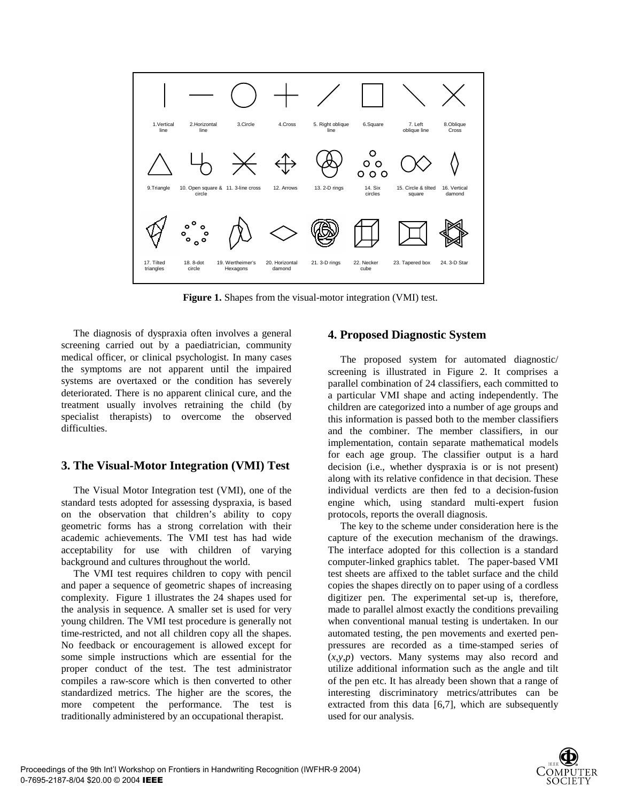

**Figure 1.** Shapes from the visual-motor integration (VMI) test.

The diagnosis of dyspraxia often involves a general screening carried out by a paediatrician, community medical officer, or clinical psychologist. In many cases the symptoms are not apparent until the impaired systems are overtaxed or the condition has severely deteriorated. There is no apparent clinical cure, and the treatment usually involves retraining the child (by specialist therapists) to overcome the observed difficulties.

#### **3. The Visual-Motor Integration (VMI) Test**

The Visual Motor Integration test (VMI), one of the standard tests adopted for assessing dyspraxia, is based on the observation that children's ability to copy geometric forms has a strong correlation with their academic achievements. The VMI test has had wide acceptability for use with children of varying background and cultures throughout the world.

The VMI test requires children to copy with pencil and paper a sequence of geometric shapes of increasing complexity. Figure 1 illustrates the 24 shapes used for the analysis in sequence. A smaller set is used for very young children. The VMI test procedure is generally not time-restricted, and not all children copy all the shapes. No feedback or encouragement is allowed except for some simple instructions which are essential for the proper conduct of the test. The test administrator compiles a raw-score which is then converted to other standardized metrics. The higher are the scores, the more competent the performance. The test is traditionally administered by an occupational therapist.

#### **4. Proposed Diagnostic System**

The proposed system for automated diagnostic/ screening is illustrated in Figure 2. It comprises a parallel combination of 24 classifiers, each committed to a particular VMI shape and acting independently. The children are categorized into a number of age groups and this information is passed both to the member classifiers and the combiner. The member classifiers, in our implementation, contain separate mathematical models for each age group. The classifier output is a hard decision (i.e., whether dyspraxia is or is not present) along with its relative confidence in that decision. These individual verdicts are then fed to a decision-fusion engine which, using standard multi-expert fusion protocols, reports the overall diagnosis.

The key to the scheme under consideration here is the capture of the execution mechanism of the drawings. The interface adopted for this collection is a standard computer-linked graphics tablet. The paper-based VMI test sheets are affixed to the tablet surface and the child copies the shapes directly on to paper using of a cordless digitizer pen. The experimental set-up is, therefore, made to parallel almost exactly the conditions prevailing when conventional manual testing is undertaken. In our automated testing, the pen movements and exerted penpressures are recorded as a time-stamped series of (*x,y,p*) vectors. Many systems may also record and utilize additional information such as the angle and tilt of the pen etc. It has already been shown that a range of interesting discriminatory metrics/attributes can be extracted from this data [6,7], which are subsequently used for our analysis.

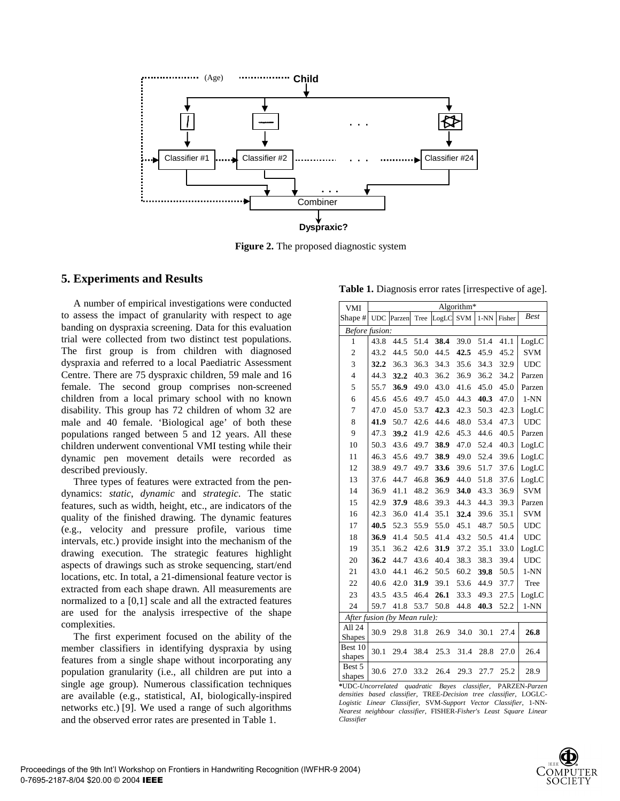

**Figure 2.** The proposed diagnostic system

#### **5. Experiments and Results**

A number of empirical investigations were conducted to assess the impact of granularity with respect to age banding on dyspraxia screening. Data for this evaluation trial were collected from two distinct test populations. The first group is from children with diagnosed dyspraxia and referred to a local Paediatric Assessment Centre. There are 75 dyspraxic children, 59 male and 16 female. The second group comprises non-screened children from a local primary school with no known disability. This group has 72 children of whom 32 are male and 40 female. 'Biological age' of both these populations ranged between 5 and 12 years. All these children underwent conventional VMI testing while their dynamic pen movement details were recorded as described previously.

Three types of features were extracted from the pendynamics: *static*, *dynamic* and *strategic*. The static features, such as width, height, etc., are indicators of the quality of the finished drawing. The dynamic features (e.g., velocity and pressure profile, various time intervals, etc.) provide insight into the mechanism of the drawing execution. The strategic features highlight aspects of drawings such as stroke sequencing, start/end locations, etc. In total, a 21-dimensional feature vector is extracted from each shape drawn. All measurements are normalized to a [0,1] scale and all the extracted features are used for the analysis irrespective of the shape complexities.

The first experiment focused on the ability of the member classifiers in identifying dyspraxia by using features from a single shape without incorporating any population granularity (i.e., all children are put into a single age group). Numerous classification techniques are available (e.g., statistical, AI, biologically-inspired networks etc.) [9]. We used a range of such algorithms and the observed error rates are presented in Table 1.

**Table 1.** Diagnosis error rates [irrespective of age].

| <b>VMI</b>                   | Algorithm <sup>*</sup> |        |      |       |            |        |        |                                     |  |
|------------------------------|------------------------|--------|------|-------|------------|--------|--------|-------------------------------------|--|
| Shape #                      | UDC                    | Parzen | Tree | LogLC | <b>SVM</b> | $1-NN$ | Fisher | <b>Best</b>                         |  |
| Before fusion:               |                        |        |      |       |            |        |        |                                     |  |
| 1                            | 43.8                   | 44.5   | 51.4 | 38.4  | 39.0       | 51.4   | 41.1   | LogLC                               |  |
| $\overline{c}$               | 43.2                   | 44.5   | 50.0 | 44.5  | 42.5       | 45.9   | 45.2   | <b>SVM</b>                          |  |
| 3                            | 32.2                   | 36.3   | 36.3 | 34.3  | 35.6       | 34.3   | 32.9   | <b>UDC</b>                          |  |
| $\overline{4}$               | 44.3                   | 32.2   | 40.3 | 36.2  | 36.9       | 36.2   | 34.2   | Parzen                              |  |
| 5                            | 55.7                   | 36.9   | 49.0 | 43.0  | 41.6       | 45.0   | 45.0   | Parzen                              |  |
| 6                            | 45.6                   | 45.6   | 49.7 | 45.0  | 44.3       | 40.3   | 47.0   | $1-NN$                              |  |
| $\overline{7}$               | 47.0                   | 45.0   | 53.7 | 42.3  | 42.3       | 50.3   | 42.3   | LogLC                               |  |
| 8                            | 41.9                   | 50.7   | 42.6 | 44.6  | 48.0       | 53.4   | 47.3   | <b>UDC</b>                          |  |
| 9                            | 47.3                   | 39.2   | 41.9 | 42.6  | 45.3       | 44.6   | 40.5   | Parzen                              |  |
| 10                           | 50.3                   | 43.6   | 49.7 | 38.9  | 47.0       | 52.4   | 40.3   | LogLC                               |  |
| 11                           | 46.3                   | 45.6   | 49.7 | 38.9  | 49.0       | 52.4   | 39.6   | LogLC                               |  |
| 12                           | 38.9                   | 49.7   | 49.7 | 33.6  | 39.6       | 51.7   | 37.6   | LogLC                               |  |
| 13                           | 37.6                   | 44.7   | 46.8 | 36.9  | 44.0       | 51.8   | 37.6   | LogLC                               |  |
| 14                           | 36.9                   | 41.1   | 48.2 | 36.9  | 34.0       | 43.3   | 36.9   | <b>SVM</b>                          |  |
| 15                           | 42.9                   | 37.9   | 48.6 | 39.3  | 44.3       | 44.3   | 39.3   | Parzen                              |  |
| 16                           | 42.3                   | 36.0   | 41.4 | 35.1  | 32.4       | 39.6   | 35.1   | <b>SVM</b>                          |  |
| 17                           | 40.5                   | 52.3   | 55.9 | 55.0  | 45.1       | 48.7   | 50.5   | <b>UDC</b>                          |  |
| 18                           | 36.9                   | 41.4   | 50.5 | 41.4  | 43.2       | 50.5   | 41.4   | UDC                                 |  |
| 19                           | 35.1                   | 36.2   | 42.6 | 31.9  | 37.2       | 35.1   | 33.0   | LogLC                               |  |
| 20                           | 36.2                   | 44.7   | 43.6 | 40.4  | 38.3       | 38.3   | 39.4   | <b>UDC</b>                          |  |
| 21                           | 43.0                   | 44.1   | 46.2 | 50.5  | 60.2       | 39.8   | 50.5   | $1-NN$                              |  |
| 22                           | 40.6                   | 42.0   | 31.9 | 39.1  | 53.6       | 44.9   | 37.7   | Tree                                |  |
| 23                           | 43.5                   | 43.5   | 46.4 | 26.1  | 33.3       | 49.3   | 27.5   | LogLC                               |  |
| 24                           | 59.7                   | 41.8   | 53.7 | 50.8  | 44.8       | 40.3   | 52.2   | $1-NN$                              |  |
| After fusion (by Mean rule): |                        |        |      |       |            |        |        |                                     |  |
| All 24<br><b>Shapes</b>      | 30.9                   | 29.8   | 31.8 | 26.9  | 34.0       | 30.1   | 27.4   | 26.8                                |  |
| Best 10<br>shapes            | 30.1                   | 29.4   | 38.4 | 25.3  | 31.4       | 28.8   | 27.0   | 26.4                                |  |
| Best 5<br>shapes             | 30.6                   | 27.0   | 33.2 | 26.4  | 29.3       | 27.7   | 25.2   | 28.9<br><b>DADZEN</b> <i>Parzan</i> |  |

**\***UDC-*Uncorrelated quadratic Bayes classifier*, PARZEN-*Parzen densities based classifier*, TREE-*Decision tree classifier*, LOGLC-*Logistic Linear Classifier*, SVM-*Support Vector Classifier*, 1-NN-*Nearest neighbour classifier*, FISHER-*Fisher's Least Square Linear Classifier*

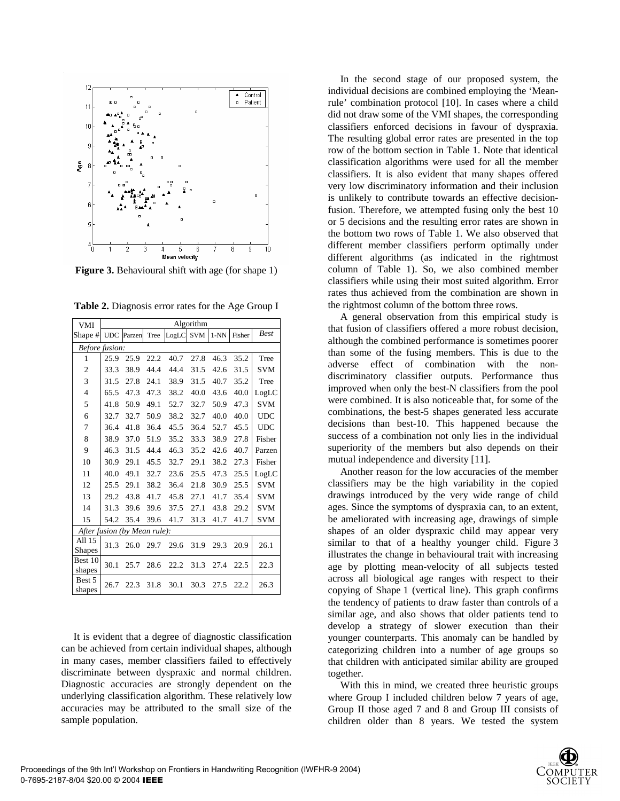

**Figure 3.** Behavioural shift with age (for shape 1)

|  | Table 2. Diagnosis error rates for the Age Group I |  |
|--|----------------------------------------------------|--|
|  |                                                    |  |

| <b>VMI</b>                   | Algorithm      |        |      |       |            |        |        |             |  |  |
|------------------------------|----------------|--------|------|-------|------------|--------|--------|-------------|--|--|
| Shape #                      | <b>UDC</b>     | Parzen | Tree | LogLC | <b>SVM</b> | $1-NN$ | Fisher | <b>Best</b> |  |  |
|                              | Before fusion: |        |      |       |            |        |        |             |  |  |
| 1                            | 25.9           | 25.9   | 22.2 | 40.7  | 27.8       | 46.3   | 35.2   | Tree        |  |  |
| $\mathbf{2}$                 | 33.3           | 38.9   | 44.4 | 44.4  | 31.5       | 42.6   | 31.5   | <b>SVM</b>  |  |  |
| 3                            | 31.5           | 27.8   | 24.1 | 38.9  | 31.5       | 40.7   | 35.2   | Tree        |  |  |
| 4                            | 65.5           | 47.3   | 47.3 | 38.2  | 40.0       | 43.6   | 40.0   | LogLC       |  |  |
| 5                            | 41.8           | 50.9   | 49.1 | 52.7  | 32.7       | 50.9   | 47.3   | <b>SVM</b>  |  |  |
| 6                            | 32.7           | 32.7   | 50.9 | 38.2  | 32.7       | 40.0   | 40.0   | <b>UDC</b>  |  |  |
| 7                            | 36.4           | 41.8   | 36.4 | 45.5  | 36.4       | 52.7   | 45.5   | <b>UDC</b>  |  |  |
| 8                            | 38.9           | 37.0   | 51.9 | 35.2  | 33.3       | 38.9   | 27.8   | Fisher      |  |  |
| 9                            | 46.3           | 31.5   | 44.4 | 46.3  | 35.2       | 42.6   | 40.7   | Parzen      |  |  |
| 10                           | 30.9           | 29.1   | 45.5 | 32.7  | 29.1       | 38.2   | 27.3   | Fisher      |  |  |
| 11                           | 40.0           | 49.1   | 32.7 | 23.6  | 25.5       | 47.3   | 25.5   | LogLC       |  |  |
| 12                           | 25.5           | 29.1   | 38.2 | 36.4  | 21.8       | 30.9   | 25.5   | <b>SVM</b>  |  |  |
| 13                           | 29.2           | 43.8   | 41.7 | 45.8  | 27.1       | 41.7   | 35.4   | <b>SVM</b>  |  |  |
| 14                           | 31.3           | 39.6   | 39.6 | 37.5  | 27.1       | 43.8   | 29.2   | <b>SVM</b>  |  |  |
| 15                           | 54.2           | 35.4   | 39.6 | 41.7  | 31.3       | 41.7   | 41.7   | <b>SVM</b>  |  |  |
| After fusion (by Mean rule): |                |        |      |       |            |        |        |             |  |  |
| All 15<br><b>Shapes</b>      | 31.3           | 26.0   | 29.7 | 29.6  | 31.9       | 29.3   | 20.9   | 26.1        |  |  |
| Best 10<br>shapes            | 30.1           | 25.7   | 28.6 | 22.2  | 31.3       | 27.4   | 22.5   | 22.3        |  |  |
| Best 5<br>shapes             | 26.7           | 22.3   | 31.8 | 30.1  | 30.3       | 27.5   | 22.2   | 26.3        |  |  |

It is evident that a degree of diagnostic classification can be achieved from certain individual shapes, although in many cases, member classifiers failed to effectively discriminate between dyspraxic and normal children. Diagnostic accuracies are strongly dependent on the underlying classification algorithm. These relatively low accuracies may be attributed to the small size of the sample population.

In the second stage of our proposed system, the individual decisions are combined employing the 'Meanrule' combination protocol [10]. In cases where a child did not draw some of the VMI shapes, the corresponding classifiers enforced decisions in favour of dyspraxia. The resulting global error rates are presented in the top row of the bottom section in Table 1. Note that identical classification algorithms were used for all the member classifiers. It is also evident that many shapes offered very low discriminatory information and their inclusion is unlikely to contribute towards an effective decisionfusion. Therefore, we attempted fusing only the best 10 or 5 decisions and the resulting error rates are shown in the bottom two rows of Table 1. We also observed that different member classifiers perform optimally under different algorithms (as indicated in the rightmost column of Table 1). So, we also combined member classifiers while using their most suited algorithm. Error rates thus achieved from the combination are shown in the rightmost column of the bottom three rows.

A general observation from this empirical study is that fusion of classifiers offered a more robust decision, although the combined performance is sometimes poorer than some of the fusing members. This is due to the adverse effect of combination with the nondiscriminatory classifier outputs. Performance thus improved when only the best-N classifiers from the pool were combined. It is also noticeable that, for some of the combinations, the best-5 shapes generated less accurate decisions than best-10. This happened because the success of a combination not only lies in the individual superiority of the members but also depends on their mutual independence and diversity [11].

Another reason for the low accuracies of the member classifiers may be the high variability in the copied drawings introduced by the very wide range of child ages. Since the symptoms of dyspraxia can, to an extent, be ameliorated with increasing age, drawings of simple shapes of an older dyspraxic child may appear very similar to that of a healthy younger child. Figure 3 illustrates the change in behavioural trait with increasing age by plotting mean-velocity of all subjects tested across all biological age ranges with respect to their copying of Shape 1 (vertical line). This graph confirms the tendency of patients to draw faster than controls of a similar age, and also shows that older patients tend to develop a strategy of slower execution than their younger counterparts. This anomaly can be handled by categorizing children into a number of age groups so that children with anticipated similar ability are grouped together.

With this in mind, we created three heuristic groups where Group I included children below 7 years of age, Group II those aged 7 and 8 and Group III consists of children older than 8 years. We tested the system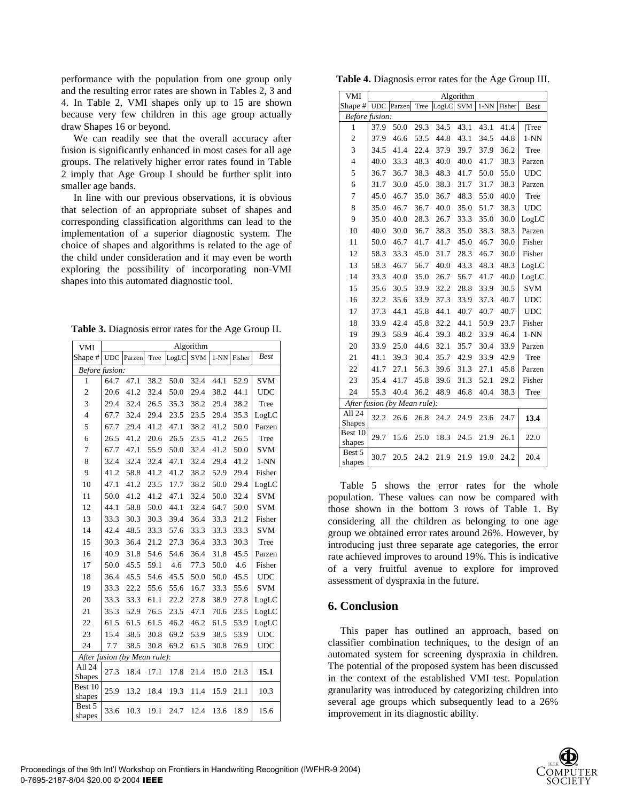performance with the population from one group only and the resulting error rates are shown in Tables 2, 3 and 4. In Table 2, VMI shapes only up to 15 are shown because very few children in this age group actually draw Shapes 16 or beyond.

We can readily see that the overall accuracy after fusion is significantly enhanced in most cases for all age groups. The relatively higher error rates found in Table 2 imply that Age Group I should be further split into smaller age bands.

In line with our previous observations, it is obvious that selection of an appropriate subset of shapes and corresponding classification algorithms can lead to the implementation of a superior diagnostic system. The choice of shapes and algorithms is related to the age of the child under consideration and it may even be worth exploring the possibility of incorporating non-VMI shapes into this automated diagnostic tool.

| Table 3. Diagnosis error rates for the Age Group II. |  |  |
|------------------------------------------------------|--|--|
|------------------------------------------------------|--|--|

| <b>VMI</b>                   | Algorithm      |        |      |       |            |        |        |             |  |  |  |  |
|------------------------------|----------------|--------|------|-------|------------|--------|--------|-------------|--|--|--|--|
| Shape #                      | <b>UDC</b>     | Parzen | Tree | LogLC | <b>SVM</b> | $1-NN$ | Fisher | <b>Best</b> |  |  |  |  |
|                              | Before fusion: |        |      |       |            |        |        |             |  |  |  |  |
| 1                            | 64.7           | 47.1   | 38.2 | 50.0  | 32.4       | 44.1   | 52.9   | <b>SVM</b>  |  |  |  |  |
| $\overline{c}$               | 20.6           | 41.2   | 32.4 | 50.0  | 29.4       | 38.2   | 44.1   | <b>UDC</b>  |  |  |  |  |
| 3                            | 29.4           | 32.4   | 26.5 | 35.3  | 38.2       | 29.4   | 38.2   | Tree        |  |  |  |  |
| $\overline{4}$               | 67.7           | 32.4   | 29.4 | 23.5  | 23.5       | 29.4   | 35.3   | LogLC       |  |  |  |  |
| 5                            | 67.7           | 29.4   | 41.2 | 47.1  | 38.2       | 41.2   | 50.0   | Parzen      |  |  |  |  |
| 6                            | 26.5           | 41.2   | 20.6 | 26.5  | 23.5       | 41.2   | 26.5   | Tree        |  |  |  |  |
| 7                            | 67.7           | 47.1   | 55.9 | 50.0  | 32.4       | 41.2   | 50.0   | <b>SVM</b>  |  |  |  |  |
| 8                            | 32.4           | 32.4   | 32.4 | 47.1  | 32.4       | 29.4   | 41.2   | $1-NN$      |  |  |  |  |
| 9                            | 41.2           | 58.8   | 41.2 | 41.2  | 38.2       | 52.9   | 29.4   | Fisher      |  |  |  |  |
| 10                           | 47.1           | 41.2   | 23.5 | 17.7  | 38.2       | 50.0   | 29.4   | LogLC       |  |  |  |  |
| 11                           | 50.0           | 41.2   | 41.2 | 47.1  | 32.4       | 50.0   | 32.4   | <b>SVM</b>  |  |  |  |  |
| 12                           | 44.1           | 58.8   | 50.0 | 44.1  | 32.4       | 64.7   | 50.0   | <b>SVM</b>  |  |  |  |  |
| 13                           | 33.3           | 30.3   | 30.3 | 39.4  | 36.4       | 33.3   | 21.2   | Fisher      |  |  |  |  |
| 14                           | 42.4           | 48.5   | 33.3 | 57.6  | 33.3       | 33.3   | 33.3   | <b>SVM</b>  |  |  |  |  |
| 15                           | 30.3           | 36.4   | 21.2 | 27.3  | 36.4       | 33.3   | 30.3   | Tree        |  |  |  |  |
| 16                           | 40.9           | 31.8   | 54.6 | 54.6  | 36.4       | 31.8   | 45.5   | Parzen      |  |  |  |  |
| 17                           | 50.0           | 45.5   | 59.1 | 4.6   | 77.3       | 50.0   | 4.6    | Fisher      |  |  |  |  |
| 18                           | 36.4           | 45.5   | 54.6 | 45.5  | 50.0       | 50.0   | 45.5   | <b>UDC</b>  |  |  |  |  |
| 19                           | 33.3           | 22.2   | 55.6 | 55.6  | 16.7       | 33.3   | 55.6   | <b>SVM</b>  |  |  |  |  |
| 20                           | 33.3           | 33.3   | 61.1 | 22.2  | 27.8       | 38.9   | 27.8   | LogLC       |  |  |  |  |
| 21                           | 35.3           | 52.9   | 76.5 | 23.5  | 47.1       | 70.6   | 23.5   | LogLC       |  |  |  |  |
| 22                           | 61.5           | 61.5   | 61.5 | 46.2  | 46.2       | 61.5   | 53.9   | LogLC       |  |  |  |  |
| 23                           | 15.4           | 38.5   | 30.8 | 69.2  | 53.9       | 38.5   | 53.9   | <b>UDC</b>  |  |  |  |  |
| 24                           | 7.7            | 38.5   | 30.8 | 69.2  | 61.5       | 30.8   | 76.9   | <b>UDC</b>  |  |  |  |  |
| After fusion (by Mean rule): |                |        |      |       |            |        |        |             |  |  |  |  |
| All 24                       | 27.3           | 18.4   | 17.1 | 17.8  | 21.4       | 19.0   | 21.3   | 15.1        |  |  |  |  |
| <b>Shapes</b>                |                |        |      |       |            |        |        |             |  |  |  |  |
| Best 10<br>shapes            | 25.9           | 13.2   | 18.4 | 19.3  | 11.4       | 15.9   | 21.1   | 10.3        |  |  |  |  |
| Best 5<br>shapes             | 33.6           | 10.3   | 19.1 | 24.7  | 12.4       | 13.6   | 18.9   | 15.6        |  |  |  |  |

**Table 4.** Diagnosis error rates for the Age Group III.

| <b>VMI</b>                   | Algorithm  |        |      |       |            |        |        |              |  |
|------------------------------|------------|--------|------|-------|------------|--------|--------|--------------|--|
| Shape #                      | <b>UDC</b> | Parzen | Tree | LogLC | <b>SVM</b> | $1-NN$ | Fisher | <b>Best</b>  |  |
| Before fusion:               |            |        |      |       |            |        |        |              |  |
| 1                            | 37.9       | 50.0   | 29.3 | 34.5  | 43.1       | 43.1   | 41.4   | Tree         |  |
| $\overline{c}$               | 37.9       | 46.6   | 53.5 | 44.8  | 43.1       | 34.5   | 44.8   | $1-NN$       |  |
| 3                            | 34.5       | 41.4   | 22.4 | 37.9  | 39.7       | 37.9   | 36.2   | Tree         |  |
| $\overline{4}$               | 40.0       | 33.3   | 48.3 | 40.0  | 40.0       | 41.7   | 38.3   | Parzen       |  |
| 5                            | 36.7       | 36.7   | 38.3 | 48.3  | 41.7       | 50.0   | 55.0   | $_{\rm UDC}$ |  |
| 6                            | 31.7       | 30.0   | 45.0 | 38.3  | 31.7       | 31.7   | 38.3   | Parzen       |  |
| 7                            | 45.0       | 46.7   | 35.0 | 36.7  | 48.3       | 55.0   | 40.0   | Tree         |  |
| 8                            | 35.0       | 46.7   | 36.7 | 40.0  | 35.0       | 51.7   | 38.3   | <b>UDC</b>   |  |
| 9                            | 35.0       | 40.0   | 28.3 | 26.7  | 33.3       | 35.0   | 30.0   | LogLC        |  |
| 10                           | 40.0       | 30.0   | 36.7 | 38.3  | 35.0       | 38.3   | 38.3   | Parzen       |  |
| 11                           | 50.0       | 46.7   | 41.7 | 41.7  | 45.0       | 46.7   | 30.0   | Fisher       |  |
| 12                           | 58.3       | 33.3   | 45.0 | 31.7  | 28.3       | 46.7   | 30.0   | Fisher       |  |
| 13                           | 58.3       | 46.7   | 56.7 | 40.0  | 43.3       | 48.3   | 48.3   | LogLC        |  |
| 14                           | 33.3       | 40.0   | 35.0 | 26.7  | 56.7       | 41.7   | 40.0   | LogLC        |  |
| 15                           | 35.6       | 30.5   | 33.9 | 32.2  | 28.8       | 33.9   | 30.5   | <b>SVM</b>   |  |
| 16                           | 32.2       | 35.6   | 33.9 | 37.3  | 33.9       | 37.3   | 40.7   | <b>UDC</b>   |  |
| 17                           | 37.3       | 44.1   | 45.8 | 44.1  | 40.7       | 40.7   | 40.7   | <b>UDC</b>   |  |
| 18                           | 33.9       | 42.4   | 45.8 | 32.2  | 44.1       | 50.9   | 23.7   | Fisher       |  |
| 19                           | 39.3       | 58.9   | 46.4 | 39.3  | 48.2       | 33.9   | 46.4   | $1-NN$       |  |
| 20                           | 33.9       | 25.0   | 44.6 | 32.1  | 35.7       | 30.4   | 33.9   | Parzen       |  |
| 21                           | 41.1       | 39.3   | 30.4 | 35.7  | 42.9       | 33.9   | 42.9   | Tree         |  |
| 22                           | 41.7       | 27.1   | 56.3 | 39.6  | 31.3       | 27.1   | 45.8   | Parzen       |  |
| 23                           | 35.4       | 41.7   | 45.8 | 39.6  | 31.3       | 52.1   | 29.2   | Fisher       |  |
| 24                           | 55.3       | 40.4   | 36.2 | 48.9  | 46.8       | 40.4   | 38.3   | Tree         |  |
| After fusion (by Mean rule): |            |        |      |       |            |        |        |              |  |
| All 24<br><b>Shapes</b>      | 32.2       | 26.6   | 26.8 | 24.2  | 24.9       | 23.6   | 24.7   | 13.4         |  |
| Best 10<br>shapes            | 29.7       | 15.6   | 25.0 | 18.3  | 24.5       | 21.9   | 26.1   | 22.0         |  |
| Best 5<br>shapes             | 30.7       | 20.5   | 24.2 | 21.9  | 21.9       | 19.0   | 24.2   | 20.4         |  |

Table 5 shows the error rates for the whole population. These values can now be compared with those shown in the bottom 3 rows of Table 1. By considering all the children as belonging to one age group we obtained error rates around 26%. However, by introducing just three separate age categories, the error rate achieved improves to around 19%. This is indicative of a very fruitful avenue to explore for improved assessment of dyspraxia in the future.

#### **6. Conclusion**

This paper has outlined an approach, based on classifier combination techniques, to the design of an automated system for screening dyspraxia in children. The potential of the proposed system has been discussed in the context of the established VMI test. Population granularity was introduced by categorizing children into several age groups which subsequently lead to a 26% improvement in its diagnostic ability.